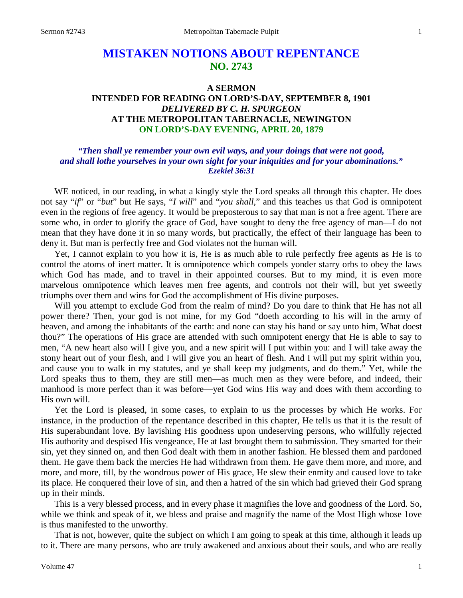# **MISTAKEN NOTIONS ABOUT REPENTANCE NO. 2743**

# **A SERMON INTENDED FOR READING ON LORD'S-DAY, SEPTEMBER 8, 1901** *DELIVERED BY C. H. SPURGEON* **AT THE METROPOLITAN TABERNACLE, NEWINGTON ON LORD'S-DAY EVENING, APRIL 20, 1879**

# *"Then shall ye remember your own evil ways, and your doings that were not good, and shall lothe yourselves in your own sight for your iniquities and for your abominations." Ezekiel 36:31*

WE noticed, in our reading, in what a kingly style the Lord speaks all through this chapter. He does not say "*if*" or "*but*" but He says, "*I will*" and "*you shall*," and this teaches us that God is omnipotent even in the regions of free agency. It would be preposterous to say that man is not a free agent. There are some who, in order to glorify the grace of God, have sought to deny the free agency of man—I do not mean that they have done it in so many words, but practically, the effect of their language has been to deny it. But man is perfectly free and God violates not the human will.

Yet, I cannot explain to you how it is, He is as much able to rule perfectly free agents as He is to control the atoms of inert matter. It is omnipotence which compels yonder starry orbs to obey the laws which God has made, and to travel in their appointed courses. But to my mind, it is even more marvelous omnipotence which leaves men free agents, and controls not their will, but yet sweetly triumphs over them and wins for God the accomplishment of His divine purposes.

Will you attempt to exclude God from the realm of mind? Do you dare to think that He has not all power there? Then, your god is not mine, for my God "doeth according to his will in the army of heaven, and among the inhabitants of the earth: and none can stay his hand or say unto him, What doest thou?" The operations of His grace are attended with such omnipotent energy that He is able to say to men, "A new heart also will I give you, and a new spirit will I put within you: and I will take away the stony heart out of your flesh, and I will give you an heart of flesh. And I will put my spirit within you, and cause you to walk in my statutes, and ye shall keep my judgments, and do them." Yet, while the Lord speaks thus to them, they are still men—as much men as they were before, and indeed, their manhood is more perfect than it was before—yet God wins His way and does with them according to His own will.

Yet the Lord is pleased, in some cases, to explain to us the processes by which He works. For instance, in the production of the repentance described in this chapter, He tells us that it is the result of His superabundant love. By lavishing His goodness upon undeserving persons, who willfully rejected His authority and despised His vengeance, He at last brought them to submission. They smarted for their sin, yet they sinned on, and then God dealt with them in another fashion. He blessed them and pardoned them. He gave them back the mercies He had withdrawn from them. He gave them more, and more, and more, and more, till, by the wondrous power of His grace, He slew their enmity and caused love to take its place. He conquered their love of sin, and then a hatred of the sin which had grieved their God sprang up in their minds.

This is a very blessed process, and in every phase it magnifies the love and goodness of the Lord. So, while we think and speak of it, we bless and praise and magnify the name of the Most High whose 1ove is thus manifested to the unworthy.

That is not, however, quite the subject on which I am going to speak at this time, although it leads up to it. There are many persons, who are truly awakened and anxious about their souls, and who are really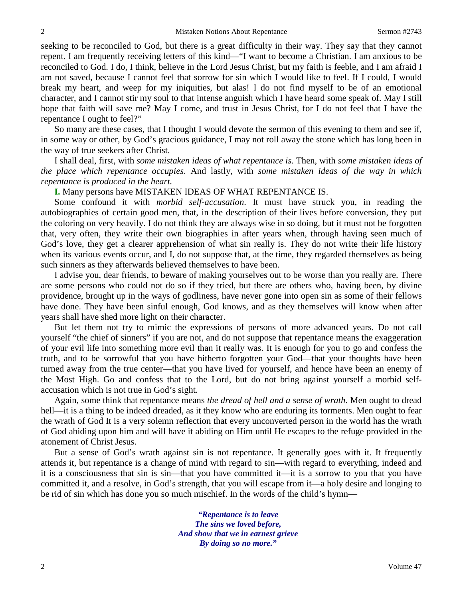seeking to be reconciled to God, but there is a great difficulty in their way. They say that they cannot repent. I am frequently receiving letters of this kind—"I want to become a Christian. I am anxious to be reconciled to God. I do, I think, believe in the Lord Jesus Christ, but my faith is feeble, and I am afraid I am not saved, because I cannot feel that sorrow for sin which I would like to feel. If I could, I would break my heart, and weep for my iniquities, but alas! I do not find myself to be of an emotional character, and I cannot stir my soul to that intense anguish which I have heard some speak of. May I still hope that faith will save me? May I come, and trust in Jesus Christ, for I do not feel that I have the repentance I ought to feel?"

So many are these cases, that I thought I would devote the sermon of this evening to them and see if, in some way or other, by God's gracious guidance, I may not roll away the stone which has long been in the way of true seekers after Christ.

I shall deal, first, with *some mistaken ideas of what repentance is*. Then, with *some mistaken ideas of the place which repentance occupies*. And lastly, with *some mistaken ideas of the way in which repentance is produced in the heart.*

**I.** Many persons have MISTAKEN IDEAS OF WHAT REPENTANCE IS.

Some confound it with *morbid self-accusation*. It must have struck you, in reading the autobiographies of certain good men, that, in the description of their lives before conversion, they put the coloring on very heavily. I do not think they are always wise in so doing, but it must not be forgotten that, very often, they write their own biographies in after years when, through having seen much of God's love, they get a clearer apprehension of what sin really is. They do not write their life history when its various events occur, and I, do not suppose that, at the time, they regarded themselves as being such sinners as they afterwards believed themselves to have been.

I advise you, dear friends, to beware of making yourselves out to be worse than you really are. There are some persons who could not do so if they tried, but there are others who, having been, by divine providence, brought up in the ways of godliness, have never gone into open sin as some of their fellows have done. They have been sinful enough, God knows, and as they themselves will know when after years shall have shed more light on their character.

But let them not try to mimic the expressions of persons of more advanced years. Do not call yourself "the chief of sinners" if you are not, and do not suppose that repentance means the exaggeration of your evil life into something more evil than it really was. It is enough for you to go and confess the truth, and to be sorrowful that you have hitherto forgotten your God—that your thoughts have been turned away from the true center—that you have lived for yourself, and hence have been an enemy of the Most High. Go and confess that to the Lord, but do not bring against yourself a morbid selfaccusation which is not true in God's sight.

Again, some think that repentance means *the dread of hell and a sense of wrath*. Men ought to dread hell—it is a thing to be indeed dreaded, as it they know who are enduring its torments. Men ought to fear the wrath of God It is a very solemn reflection that every unconverted person in the world has the wrath of God abiding upon him and will have it abiding on Him until He escapes to the refuge provided in the atonement of Christ Jesus.

But a sense of God's wrath against sin is not repentance. It generally goes with it. It frequently attends it, but repentance is a change of mind with regard to sin—with regard to everything, indeed and it is a consciousness that sin is sin—that you have committed it—it is a sorrow to you that you have committed it, and a resolve, in God's strength, that you will escape from it—a holy desire and longing to be rid of sin which has done you so much mischief. In the words of the child's hymn—

> *"Repentance is to leave The sins we loved before, And show that we in earnest grieve By doing so no more."*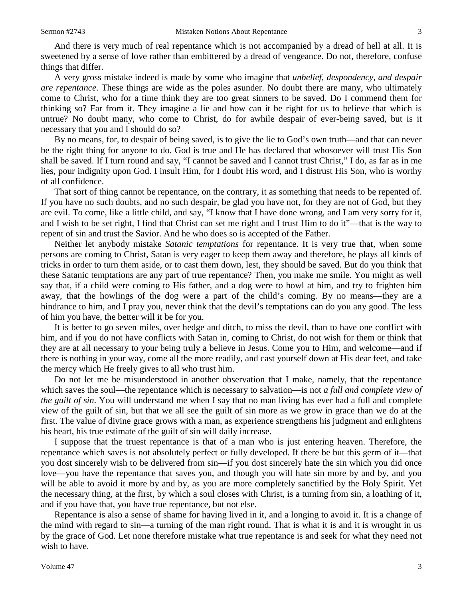And there is very much of real repentance which is not accompanied by a dread of hell at all. It is sweetened by a sense of love rather than embittered by a dread of vengeance. Do not, therefore, confuse things that differ.

A very gross mistake indeed is made by some who imagine that *unbelief, despondency, and despair are repentance*. These things are wide as the poles asunder. No doubt there are many, who ultimately come to Christ, who for a time think they are too great sinners to be saved. Do I commend them for thinking so? Far from it. They imagine a lie and how can it be right for us to believe that which is untrue? No doubt many, who come to Christ, do for awhile despair of ever-being saved, but is it necessary that you and I should do so?

By no means, for, to despair of being saved, is to give the lie to God's own truth—and that can never be the right thing for anyone to do. God is true and He has declared that whosoever will trust His Son shall be saved. If I turn round and say, "I cannot be saved and I cannot trust Christ," I do, as far as in me lies, pour indignity upon God. I insult Him, for I doubt His word, and I distrust His Son, who is worthy of all confidence.

That sort of thing cannot be repentance, on the contrary, it as something that needs to be repented of. If you have no such doubts, and no such despair, be glad you have not, for they are not of God, but they are evil. To come, like a little child, and say, "I know that I have done wrong, and I am very sorry for it, and I wish to be set right, I find that Christ can set me right and I trust Him to do it"—that is the way to repent of sin and trust the Savior. And he who does so is accepted of the Father.

Neither let anybody mistake *Satanic temptations* for repentance. It is very true that, when some persons are coming to Christ, Satan is very eager to keep them away and therefore, he plays all kinds of tricks in order to turn them aside, or to cast them down, lest, they should be saved. But do you think that these Satanic temptations are any part of true repentance? Then, you make me smile. You might as well say that, if a child were coming to His father, and a dog were to howl at him, and try to frighten him away, that the howlings of the dog were a part of the child's coming. By no means—they are a hindrance to him, and I pray you, never think that the devil's temptations can do you any good. The less of him you have, the better will it be for you.

It is better to go seven miles, over hedge and ditch, to miss the devil, than to have one conflict with him, and if you do not have conflicts with Satan in, coming to Christ, do not wish for them or think that they are at all necessary to your being truly a believe in Jesus. Come you to Him, and welcome—and if there is nothing in your way, come all the more readily, and cast yourself down at His dear feet, and take the mercy which He freely gives to all who trust him.

Do not let me be misunderstood in another observation that I make, namely, that the repentance which saves the soul—the repentance which is necessary to salvation—is not *a full and complete view of the guilt of sin*. You will understand me when I say that no man living has ever had a full and complete view of the guilt of sin, but that we all see the guilt of sin more as we grow in grace than we do at the first. The value of divine grace grows with a man, as experience strengthens his judgment and enlightens his heart, his true estimate of the guilt of sin will daily increase.

I suppose that the truest repentance is that of a man who is just entering heaven. Therefore, the repentance which saves is not absolutely perfect or fully developed. If there be but this germ of it—that you dost sincerely wish to be delivered from sin—if you dost sincerely hate the sin which you did once love—you have the repentance that saves you, and though you will hate sin more by and by, and you will be able to avoid it more by and by, as you are more completely sanctified by the Holy Spirit. Yet the necessary thing, at the first, by which a soul closes with Christ, is a turning from sin, a loathing of it, and if you have that, you have true repentance, but not else.

Repentance is also a sense of shame for having lived in it, and a longing to avoid it. It is a change of the mind with regard to sin—a turning of the man right round. That is what it is and it is wrought in us by the grace of God. Let none therefore mistake what true repentance is and seek for what they need not wish to have.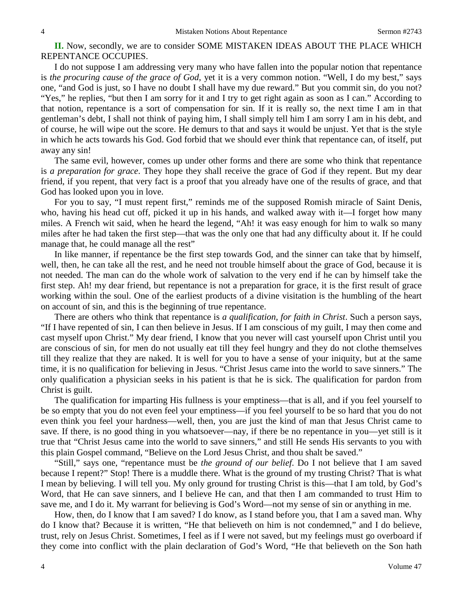**II.** Now, secondly, we are to consider SOME MISTAKEN IDEAS ABOUT THE PLACE WHICH REPENTANCE OCCUPIES.

I do not suppose I am addressing very many who have fallen into the popular notion that repentance is *the procuring cause of the grace of God*, yet it is a very common notion. "Well, I do my best," says one, "and God is just, so I have no doubt I shall have my due reward." But you commit sin, do you not? "Yes," he replies, "but then I am sorry for it and I try to get right again as soon as I can." According to that notion, repentance is a sort of compensation for sin. If it is really so, the next time I am in that gentleman's debt, I shall not think of paying him, I shall simply tell him I am sorry I am in his debt, and of course, he will wipe out the score. He demurs to that and says it would be unjust. Yet that is the style in which he acts towards his God. God forbid that we should ever think that repentance can, of itself, put away any sin!

The same evil, however, comes up under other forms and there are some who think that repentance is *a preparation for grace*. They hope they shall receive the grace of God if they repent. But my dear friend, if you repent, that very fact is a proof that you already have one of the results of grace, and that God has looked upon you in love.

For you to say, "I must repent first," reminds me of the supposed Romish miracle of Saint Denis, who, having his head cut off, picked it up in his hands, and walked away with it—I forget how many miles. A French wit said, when he heard the legend, "Ah! it was easy enough for him to walk so many miles after he had taken the first step—that was the only one that had any difficulty about it. If he could manage that, he could manage all the rest"

In like manner, if repentance be the first step towards God, and the sinner can take that by himself, well, then, he can take all the rest, and he need not trouble himself about the grace of God, because it is not needed. The man can do the whole work of salvation to the very end if he can by himself take the first step. Ah! my dear friend, but repentance is not a preparation for grace, it is the first result of grace working within the soul. One of the earliest products of a divine visitation is the humbling of the heart on account of sin, and this is the beginning of true repentance.

There are others who think that repentance is *a qualification, for faith in Christ*. Such a person says, "If I have repented of sin, I can then believe in Jesus. If I am conscious of my guilt, I may then come and cast myself upon Christ." My dear friend, I know that you never will cast yourself upon Christ until you are conscious of sin, for men do not usually eat till they feel hungry and they do not clothe themselves till they realize that they are naked. It is well for you to have a sense of your iniquity, but at the same time, it is no qualification for believing in Jesus. "Christ Jesus came into the world to save sinners." The only qualification a physician seeks in his patient is that he is sick. The qualification for pardon from Christ is guilt.

The qualification for imparting His fullness is your emptiness—that is all, and if you feel yourself to be so empty that you do not even feel your emptiness—if you feel yourself to be so hard that you do not even think you feel your hardness—well, then, you are just the kind of man that Jesus Christ came to save. If there, is no good thing in you whatsoever—nay, if there be no repentance in you—yet still is it true that "Christ Jesus came into the world to save sinners," and still He sends His servants to you with this plain Gospel command, "Believe on the Lord Jesus Christ, and thou shalt be saved."

"Still," says one, "repentance must be *the ground of our belief*. Do I not believe that I am saved because I repent?" Stop! There is a muddle there. What is the ground of my trusting Christ? That is what I mean by believing. I will tell you. My only ground for trusting Christ is this—that I am told, by God's Word, that He can save sinners, and I believe He can, and that then I am commanded to trust Him to save me, and I do it. My warrant for believing is God's Word—not my sense of sin or anything in me.

How, then, do I know that I am saved? I do know, as I stand before you, that I am a saved man. Why do I know that? Because it is written, "He that believeth on him is not condemned," and I do believe, trust, rely on Jesus Christ. Sometimes, I feel as if I were not saved, but my feelings must go overboard if they come into conflict with the plain declaration of God's Word, "He that believeth on the Son hath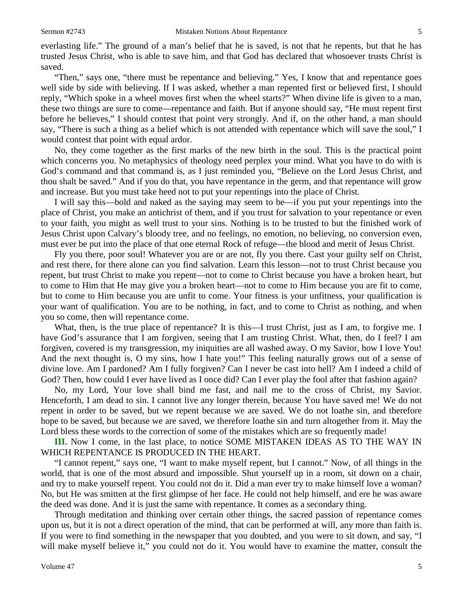everlasting life." The ground of a man's belief that he is saved, is not that he repents, but that he has trusted Jesus Christ, who is able to save him, and that God has declared that whosoever trusts Christ is saved.

"Then," says one, "there must be repentance and believing." Yes, I know that and repentance goes well side by side with believing. If I was asked, whether a man repented first or believed first, I should reply, "Which spoke in a wheel moves first when the wheel starts?" When divine life is given to a man, these two things are sure to come—repentance and faith. But if anyone should say, "He must repent first before he believes," I should contest that point very strongly. And if, on the other hand, a man should say, "There is such a thing as a belief which is not attended with repentance which will save the soul," I would contest that point with equal ardor.

No, they come together as the first marks of the new birth in the soul. This is the practical point which concerns you. No metaphysics of theology need perplex your mind. What you have to do with is God's command and that command is, as I just reminded you, "Believe on the Lord Jesus Christ, and thou shalt be saved." And if you do that, you have repentance in the germ, and that repentance will grow and increase. But you must take heed not to put your repentings into the place of Christ.

I will say this—bold and naked as the saying may seem to be—if you put your repentings into the place of Christ, you make an antichrist of them, and if you trust for salvation to your repentance or even to your faith, you might as well trust to your sins. Nothing is to be trusted to but the finished work of Jesus Christ upon Calvary's bloody tree, and no feelings, no emotion, no believing, no conversion even, must ever be put into the place of that one eternal Rock of refuge—the blood and merit of Jesus Christ.

Fly you there, poor soul! Whatever you are or are not, fly you there. Cast your guilty self on Christ, and rest there, for there alone can you find salvation. Learn this lesson—not to trust Christ because you repent, but trust Christ to make you repent—not to come to Christ because you have a broken heart, but to come to Him that He may give you a broken heart—not to come to Him because you are fit to come, but to come to Him because you are unfit to come. Your fitness is your unfitness, your qualification is your want of qualification. You are to be nothing, in fact, and to come to Christ as nothing, and when you so come, then will repentance come.

What, then, is the true place of repentance? It is this—I trust Christ, just as I am, to forgive me. I have God's assurance that I am forgiven, seeing that I am trusting Christ. What, then, do I feel? I am forgiven, covered is my transgression, my iniquities are all washed away. O my Savior, how I love You! And the next thought is, O my sins, how I hate you!" This feeling naturally grows out of a sense of divine love. Am I pardoned? Am I fully forgiven? Can I never be cast into hell? Am I indeed a child of God? Then, how could I ever have lived as I once did? Can I ever play the fool after that fashion again?

No, my Lord, Your love shall bind me fast, and nail me to the cross of Christ, my Savior. Henceforth, I am dead to sin. I cannot live any longer therein, because You have saved me! We do not repent in order to be saved, but we repent because we are saved. We do not loathe sin, and therefore hope to be saved, but because we are saved, we therefore loathe sin and turn altogether from it. May the Lord bless these words to the correction of some of the mistakes which are so frequently made!

**III.** Now I come, in the last place, to notice SOME MISTAKEN IDEAS AS TO THE WAY IN WHICH REPENTANCE IS PRODUCED IN THE HEART.

"I cannot repent," says one, "I want to make myself repent, but I cannot." Now, of all things in the world, that is one of the most absurd and impossible. Shut yourself up in a room, sit down on a chair, and try to make yourself repent. You could not do it. Did a man ever try to make himself love a woman? No, but He was smitten at the first glimpse of her face. He could not help himself, and ere he was aware the deed was done. And it is just the same with repentance. It comes as a secondary thing.

Through meditation and thinking over certain other things, the sacred passion of repentance comes upon us, but it is not a direct operation of the mind, that can be performed at will, any more than faith is. If you were to find something in the newspaper that you doubted, and you were to sit down, and say, "I will make myself believe it," you could not do it. You would have to examine the matter, consult the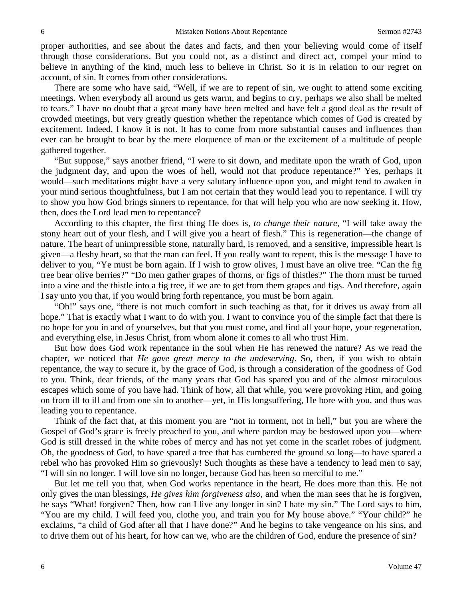proper authorities, and see about the dates and facts, and then your believing would come of itself through those considerations. But you could not, as a distinct and direct act, compel your mind to believe in anything of the kind, much less to believe in Christ. So it is in relation to our regret on account, of sin. It comes from other considerations.

There are some who have said, "Well, if we are to repent of sin, we ought to attend some exciting meetings. When everybody all around us gets warm, and begins to cry, perhaps we also shall be melted to tears." I have no doubt that a great many have been melted and have felt a good deal as the result of crowded meetings, but very greatly question whether the repentance which comes of God is created by excitement. Indeed, I know it is not. It has to come from more substantial causes and influences than ever can be brought to bear by the mere eloquence of man or the excitement of a multitude of people gathered together.

"But suppose," says another friend, "I were to sit down, and meditate upon the wrath of God, upon the judgment day, and upon the woes of hell, would not that produce repentance?" Yes, perhaps it would—such meditations might have a very salutary influence upon you, and might tend to awaken in your mind serious thoughtfulness, but I am not certain that they would lead you to repentance. I will try to show you how God brings sinners to repentance, for that will help you who are now seeking it. How, then, does the Lord lead men to repentance?

According to this chapter, the first thing He does is, *to change their nature*, "I will take away the stony heart out of your flesh, and I will give you a heart of flesh." This is regeneration—the change of nature. The heart of unimpressible stone, naturally hard, is removed, and a sensitive, impressible heart is given—a fleshy heart, so that the man can feel. If you really want to repent, this is the message I have to deliver to you, "Ye must be born again. If I wish to grow olives, I must have an olive tree. "Can the fig tree bear olive berries?" "Do men gather grapes of thorns, or figs of thistles?" The thorn must be turned into a vine and the thistle into a fig tree, if we are to get from them grapes and figs. And therefore, again I say unto you that, if you would bring forth repentance, you must be born again.

"Oh!" says one, "there is not much comfort in such teaching as that, for it drives us away from all hope." That is exactly what I want to do with you. I want to convince you of the simple fact that there is no hope for you in and of yourselves, but that you must come, and find all your hope, your regeneration, and everything else, in Jesus Christ, from whom alone it comes to all who trust Him.

But how does God work repentance in the soul when He has renewed the nature? As we read the chapter, we noticed that *He gave great mercy to the undeserving*. So, then, if you wish to obtain repentance, the way to secure it, by the grace of God, is through a consideration of the goodness of God to you. Think, dear friends, of the many years that God has spared you and of the almost miraculous escapes which some of you have had. Think of how, all that while, you were provoking Him, and going on from ill to ill and from one sin to another—yet, in His longsuffering, He bore with you, and thus was leading you to repentance.

Think of the fact that, at this moment you are "not in torment, not in hell," but you are where the Gospel of God's grace is freely preached to you, and where pardon may be bestowed upon you—where God is still dressed in the white robes of mercy and has not yet come in the scarlet robes of judgment. Oh, the goodness of God, to have spared a tree that has cumbered the ground so long—to have spared a rebel who has provoked Him so grievously! Such thoughts as these have a tendency to lead men to say, "I will sin no longer. I will love sin no longer, because God has been so merciful to me."

But let me tell you that, when God works repentance in the heart, He does more than this. He not only gives the man blessings, *He gives him forgiveness also*, and when the man sees that he is forgiven, he says "What! forgiven? Then, how can I live any longer in sin? I hate my sin." The Lord says to him, "You are my child. I will feed you, clothe you, and train you for My house above." "Your child?" he exclaims, "a child of God after all that I have done?" And he begins to take vengeance on his sins, and to drive them out of his heart, for how can we, who are the children of God, endure the presence of sin?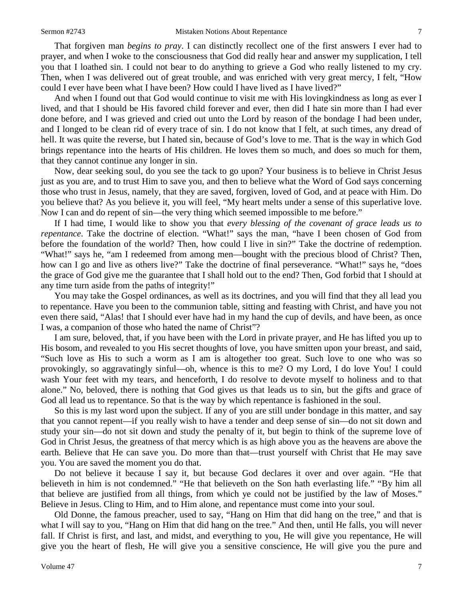That forgiven man *begins to pray*. I can distinctly recollect one of the first answers I ever had to prayer, and when I woke to the consciousness that God did really hear and answer my supplication, I tell you that I loathed sin. I could not bear to do anything to grieve a God who really listened to my cry. Then, when I was delivered out of great trouble, and was enriched with very great mercy, I felt, "How could I ever have been what I have been? How could I have lived as I have lived?"

And when I found out that God would continue to visit me with His lovingkindness as long as ever I lived, and that I should be His favored child forever and ever, then did I hate sin more than I had ever done before, and I was grieved and cried out unto the Lord by reason of the bondage I had been under, and I longed to be clean rid of every trace of sin. I do not know that I felt, at such times, any dread of hell. It was quite the reverse, but I hated sin, because of God's love to me. That is the way in which God brings repentance into the hearts of His children. He loves them so much, and does so much for them, that they cannot continue any longer in sin.

Now, dear seeking soul, do you see the tack to go upon? Your business is to believe in Christ Jesus just as you are, and to trust Him to save you, and then to believe what the Word of God says concerning those who trust in Jesus, namely, that they are saved, forgiven, loved of God, and at peace with Him. Do you believe that? As you believe it, you will feel, "My heart melts under a sense of this superlative love. Now I can and do repent of sin—the very thing which seemed impossible to me before."

If I had time, I would like to show you that *every blessing of the covenant of grace leads us to repentance*. Take the doctrine of election. "What!" says the man, "have I been chosen of God from before the foundation of the world? Then, how could I live in sin?" Take the doctrine of redemption. "What!" says he, "am I redeemed from among men—bought with the precious blood of Christ? Then, how can I go and live as others live?" Take the doctrine of final perseverance. "What!" says he, "does the grace of God give me the guarantee that I shall hold out to the end? Then, God forbid that I should at any time turn aside from the paths of integrity!"

You may take the Gospel ordinances, as well as its doctrines, and you will find that they all lead you to repentance. Have you been to the communion table, sitting and feasting with Christ, and have you not even there said, "Alas! that I should ever have had in my hand the cup of devils, and have been, as once I was, a companion of those who hated the name of Christ"?

I am sure, beloved, that, if you have been with the Lord in private prayer, and He has lifted you up to His bosom, and revealed to you His secret thoughts of love, you have smitten upon your breast, and said, "Such love as His to such a worm as I am is altogether too great. Such love to one who was so provokingly, so aggravatingly sinful—oh, whence is this to me? O my Lord, I do love You! I could wash Your feet with my tears, and henceforth, I do resolve to devote myself to holiness and to that alone." No, beloved, there is nothing that God gives us that leads us to sin, but the gifts and grace of God all lead us to repentance. So that is the way by which repentance is fashioned in the soul.

So this is my last word upon the subject. If any of you are still under bondage in this matter, and say that you cannot repent—if you really wish to have a tender and deep sense of sin—do not sit down and study your sin—do not sit down and study the penalty of it, but begin to think of the supreme love of God in Christ Jesus, the greatness of that mercy which is as high above you as the heavens are above the earth. Believe that He can save you. Do more than that—trust yourself with Christ that He may save you. You are saved the moment you do that.

Do not believe it because I say it, but because God declares it over and over again. "He that believeth in him is not condemned." "He that believeth on the Son hath everlasting life." "By him all that believe are justified from all things, from which ye could not be justified by the law of Moses." Believe in Jesus. Cling to Him, and to Him alone, and repentance must come into your soul.

Old Donne, the famous preacher, used to say, "Hang on Him that did hang on the tree," and that is what I will say to you, "Hang on Him that did hang on the tree." And then, until He falls, you will never fall. If Christ is first, and last, and midst, and everything to you, He will give you repentance, He will give you the heart of flesh, He will give you a sensitive conscience, He will give you the pure and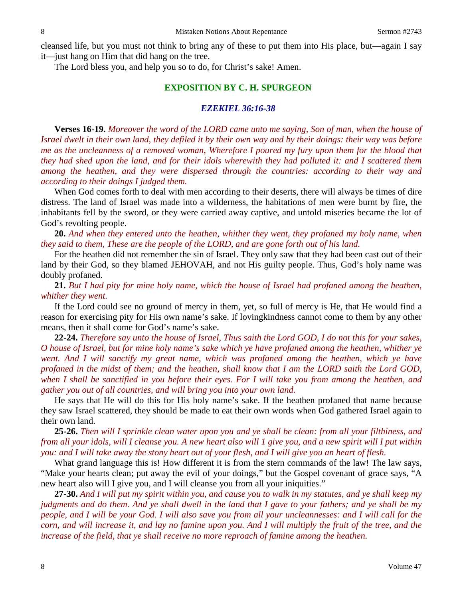cleansed life, but you must not think to bring any of these to put them into His place, but—again I say it—just hang on Him that did hang on the tree.

The Lord bless you, and help you so to do, for Christ's sake! Amen.

## **EXPOSITION BY C. H. SPURGEON**

#### *EZEKIEL 36:16-38*

**Verses 16-19.** *Moreover the word of the LORD came unto me saying, Son of man, when the house of Israel dwelt in their own land, they defiled it by their own way and by their doings: their way was before me as the uncleanness of a removed woman, Wherefore I poured my fury upon them for the blood that they had shed upon the land, and for their idols wherewith they had polluted it: and I scattered them among the heathen, and they were dispersed through the countries: according to their way and according to their doings I judged them.*

When God comes forth to deal with men according to their deserts, there will always be times of dire distress. The land of Israel was made into a wilderness, the habitations of men were burnt by fire, the inhabitants fell by the sword, or they were carried away captive, and untold miseries became the lot of God's revolting people.

**20.** *And when they entered unto the heathen, whither they went, they profaned my holy name, when they said to them, These are the people of the LORD, and are gone forth out of his land.*

For the heathen did not remember the sin of Israel. They only saw that they had been cast out of their land by their God, so they blamed JEHOVAH, and not His guilty people. Thus, God's holy name was doubly profaned.

**21.** *But I had pity for mine holy name, which the house of Israel had profaned among the heathen, whither they went.*

If the Lord could see no ground of mercy in them, yet, so full of mercy is He, that He would find a reason for exercising pity for His own name's sake. If lovingkindness cannot come to them by any other means, then it shall come for God's name's sake.

**22-24.** *Therefore say unto the house of Israel, Thus saith the Lord GOD, I do not this for your sakes, O house of Israel, but for mine holy name's sake which ye have profaned among the heathen, whither ye went. And I will sanctify my great name, which was profaned among the heathen, which ye have profaned in the midst of them; and the heathen, shall know that I am the LORD saith the Lord GOD, when I shall be sanctified in you before their eyes. For I will take you from among the heathen, and gather you out of all countries, and will bring you into your own land.*

He says that He will do this for His holy name's sake. If the heathen profaned that name because they saw Israel scattered, they should be made to eat their own words when God gathered Israel again to their own land.

**25-26.** *Then will I sprinkle clean water upon you and ye shall be clean: from all your filthiness, and from all your idols, will I cleanse you. A new heart also will 1 give you, and a new spirit will I put within you: and I will take away the stony heart out of your flesh, and I will give you an heart of flesh.*

What grand language this is! How different it is from the stern commands of the law! The law says, "Make your hearts clean; put away the evil of your doings," but the Gospel covenant of grace says, "A new heart also will I give you, and I will cleanse you from all your iniquities."

**27-30.** *And I will put my spirit within you, and cause you to walk in my statutes, and ye shall keep my judgments and do them. And ye shall dwell in the land that I gave to your fathers; and ye shall be my people, and I will be your God. I will also save you from all your uncleannesses: and I will call for the corn, and will increase it, and lay no famine upon you. And I will multiply the fruit of the tree, and the increase of the field, that ye shall receive no more reproach of famine among the heathen.*